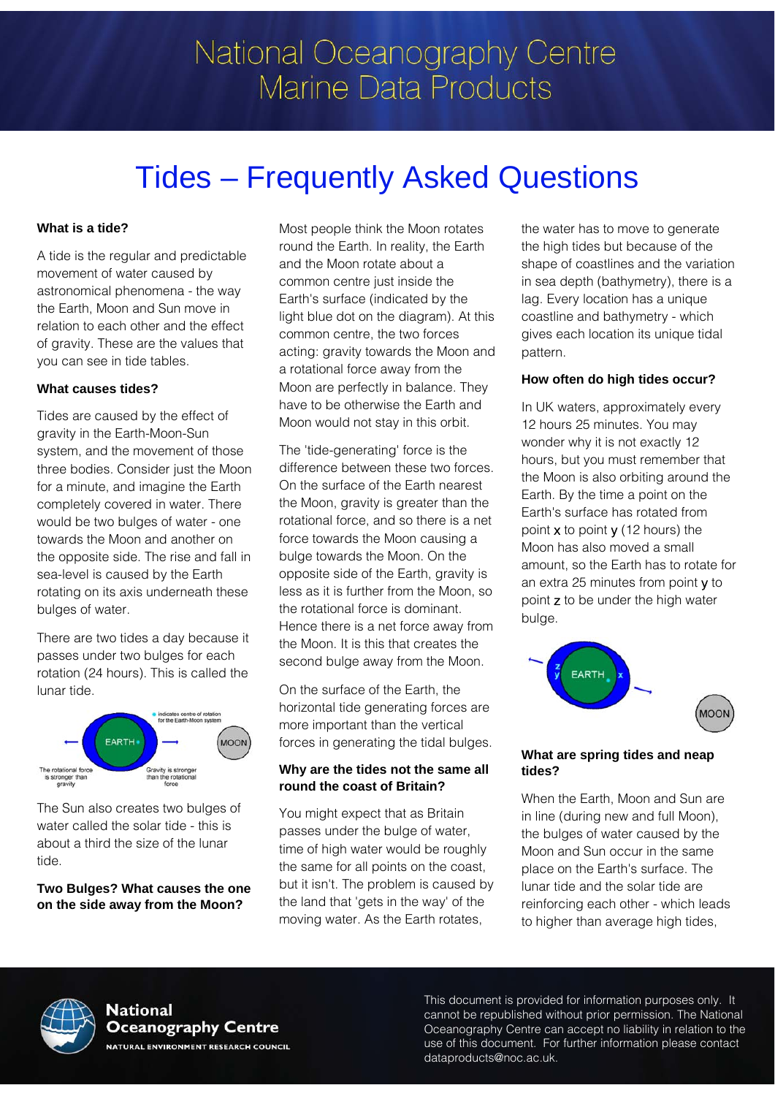# National Oceanography Centre **Marine Data Products**

# Tides – Frequently Asked Questions

### **What is a tide?**

A tide is the regular and predictable movement of water caused by astronomical phenomena - the way the Earth, Moon and Sun move in relation to each other and the effect of gravity. These are the values that you can see in tide tables.

#### **What causes tides?**

Tides are caused by the effect of gravity in the Earth-Moon-Sun system, and the movement of those three bodies. Consider just the Moon for a minute, and imagine the Earth completely covered in water. There would be two bulges of water - one towards the Moon and another on the opposite side. The rise and fall in sea-level is caused by the Earth rotating on its axis underneath these bulges of water.

There are two tides a day because it passes under two bulges for each rotation (24 hours). This is called the lunar tide.



The Sun also creates two bulges of water called the solar tide - this is about a third the size of the lunar tide.

#### **Two Bulges? What causes the one on the side away from the Moon?**

Most people think the Moon rotates round the Earth. In reality, the Earth and the Moon rotate about a common centre just inside the Earth's surface (indicated by the light blue dot on the diagram). At this common centre, the two forces acting: gravity towards the Moon and a rotational force away from the Moon are perfectly in balance. They have to be otherwise the Earth and Moon would not stay in this orbit.

The 'tide-generating' force is the difference between these two forces. On the surface of the Earth nearest the Moon, gravity is greater than the rotational force, and so there is a net force towards the Moon causing a bulge towards the Moon. On the opposite side of the Earth, gravity is less as it is further from the Moon, so the rotational force is dominant. Hence there is a net force away from the Moon. It is this that creates the second bulge away from the Moon.

On the surface of the Earth, the horizontal tide generating forces are more important than the vertical forces in generating the tidal bulges.

#### **Why are the tides not the same all round the coast of Britain?**

You might expect that as Britain passes under the bulge of water, time of high water would be roughly the same for all points on the coast, but it isn't. The problem is caused by the land that 'gets in the way' of the moving water. As the Earth rotates,

the water has to move to generate the high tides but because of the shape of coastlines and the variation in sea depth (bathymetry), there is a lag. Every location has a unique coastline and bathymetry - which gives each location its unique tidal pattern.

### **How often do high tides occur?**

In UK waters, approximately every 12 hours 25 minutes. You may wonder why it is not exactly 12 hours, but you must remember that the Moon is also orbiting around the Earth. By the time a point on the Earth's surface has rotated from point x to point y (12 hours) the Moon has also moved a small amount, so the Earth has to rotate for an extra 25 minutes from point y to point z to be under the high water bulge.



#### **What are spring tides and neap tides?**

When the Earth, Moon and Sun are in line (during new and full Moon), the bulges of water caused by the Moon and Sun occur in the same place on the Earth's surface. The lunar tide and the solar tide are reinforcing each other - which leads to higher than average high tides,



#### **National Oceanography Centre NATURAL ENVIRONMENT RESEARCH COUNCIL**

This document is provided for information purposes only. It cannot be republished without prior permission. The National Oceanography Centre can accept no liability in relation to the use of this document. For further information please contact dataproducts@noc.ac.uk.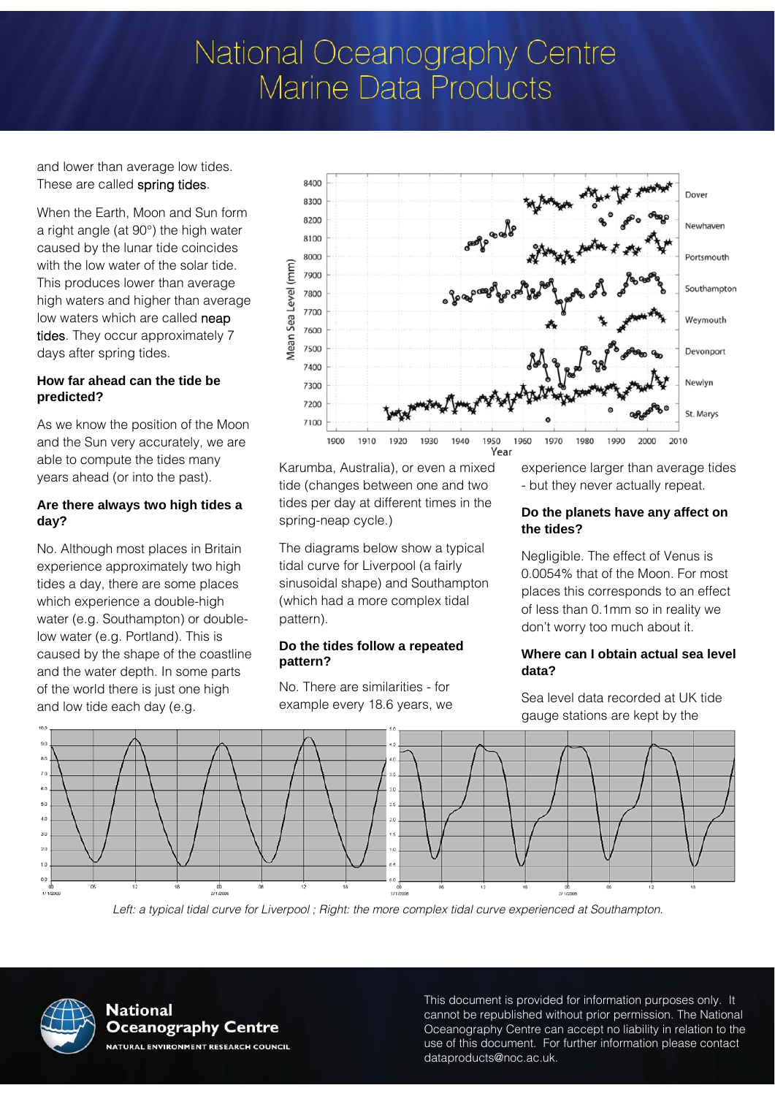# National Oceanography Centre **Marine Data Products**

and lower than average low tides. These are called spring tides.

When the Earth, Moon and Sun form a right angle (at 90°) the high water caused by the lunar tide coincides with the low water of the solar tide. This produces lower than average high waters and higher than average low waters which are called neap tides. They occur approximately 7 days after spring tides.

### **How far ahead can the tide be predicted?**

As we know the position of the Moon and the Sun very accurately, we are able to compute the tides many years ahead (or into the past).

#### **Are there always two high tides a day?**

No. Although most places in Britain experience approximately two high tides a day, there are some places which experience a double-high water (e.g. Southampton) or doublelow water (e.g. Portland). This is caused by the shape of the coastline and the water depth. In some parts of the world there is just one high and low tide each day (e.g.



Karumba, Australia), or even a mixed tide (changes between one and two tides per day at different times in the spring-neap cycle.)

The diagrams below show a typical tidal curve for Liverpool (a fairly sinusoidal shape) and Southampton (which had a more complex tidal pattern).

#### **Do the tides follow a repeated pattern?**

No. There are similarities - for example every 18.6 years, we experience larger than average tides - but they never actually repeat.

#### **Do the planets have any affect on the tides?**

Negligible. The effect of Venus is 0.0054% that of the Moon. For most places this corresponds to an effect of less than 0.1mm so in reality we don't worry too much about it.

#### **Where can I obtain actual sea level data?**

Sea level data recorded at UK tide gauge stations are kept by the



Left: a typical tidal curve for Liverpool ; Right: the more complex tidal curve experienced at Southampton.



**National Oceanography Centre NATURAL ENVIRONMENT RESEARCH COUNCIL**  This document is provided for information purposes only. It cannot be republished without prior permission. The National Oceanography Centre can accept no liability in relation to the use of this document. For further information please contact dataproducts@noc.ac.uk.